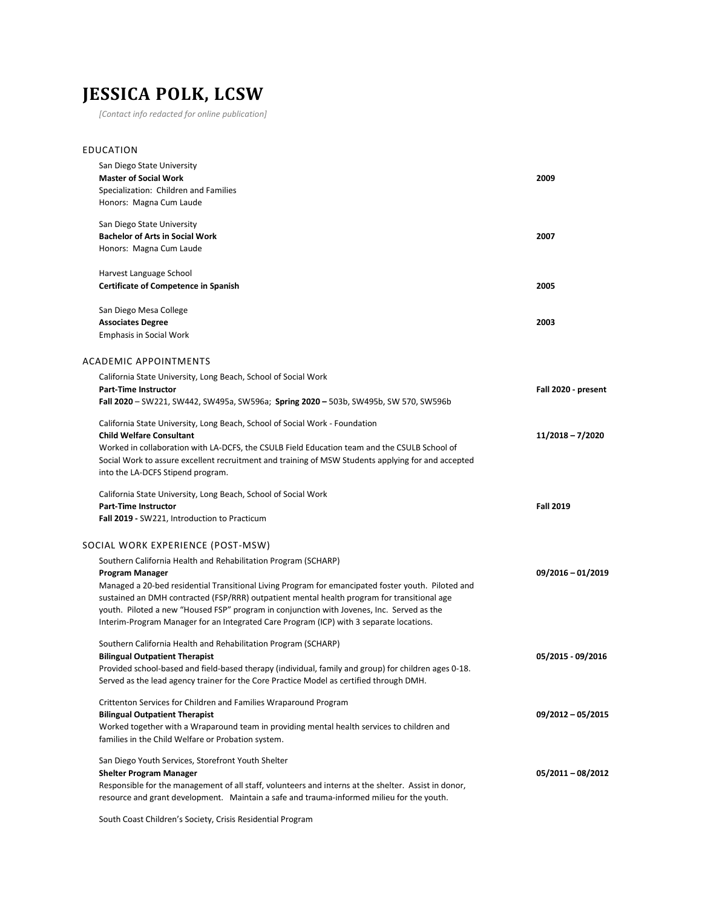## **JESSICA POLK, LCSW**

*[Contact info redacted for online publication]*

| 2009                |
|---------------------|
|                     |
|                     |
| 2007                |
|                     |
|                     |
| 2005                |
|                     |
| 2003                |
|                     |
|                     |
|                     |
| Fall 2020 - present |
|                     |
|                     |
| 11/2018 - 7/2020    |
|                     |
|                     |
|                     |
|                     |
| <b>Fall 2019</b>    |
|                     |
|                     |
|                     |
| 09/2016 - 01/2019   |
|                     |
|                     |
|                     |
|                     |
| 05/2015 - 09/2016   |
|                     |
|                     |
|                     |
| $09/2012 - 05/2015$ |
|                     |
|                     |
|                     |
| 05/2011-08/2012     |
|                     |
|                     |
|                     |

South Coast Children's Society, Crisis Residential Program